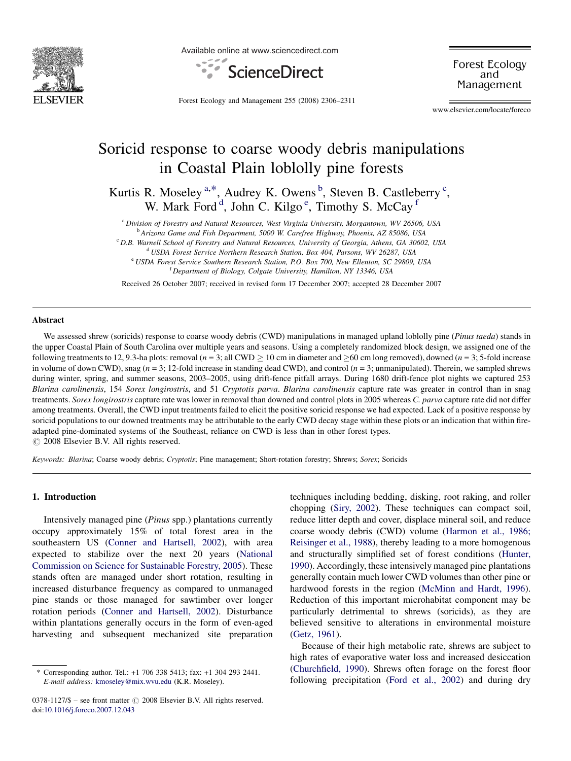

Available online at www.sciencedirect.com



Forest Ecology and Management

Forest Ecology and Management 255 (2008) 2306–2311

www.elsevier.com/locate/foreco

# Soricid response to coarse woody debris manipulations in Coastal Plain loblolly pine forests

Kurtis R. Moseley<sup>a,\*</sup>, Audrey K. Owens<sup>b</sup>, Steven B. Castleberry<sup>c</sup>, W. Mark Ford<sup>d</sup>, John C. Kilgo<sup>e</sup>, Timothy S. McCay<sup>1</sup>

<sup>a</sup> Division of Forestry and Natural Resources, West Virginia University, Morgantown, WV 26506, USA

<sup>b</sup> Arizona Game and Fish Department, 5000 W. Carefree Highway, Phoenix, AZ 85086, USA

<sup>c</sup> D.B. Warnell School of Forestry and Natural Resources, University of Georgia, Athens, GA 30602, USA

<sup>d</sup> USDA Forest Service Northern Research Station, Box 404, Parsons, WV 26287, USA

<sup>e</sup> USDA Forest Service Southern Research Station, P.O. Box 700, New Ellenton, SC 29809, USA <sup>f</sup> Department of Biology, Colgate University, Hamilton, NY 13346, USA

Received 26 October 2007; received in revised form 17 December 2007; accepted 28 December 2007

#### Abstract

We assessed shrew (soricids) response to coarse woody debris (CWD) manipulations in managed upland loblolly pine (Pinus taeda) stands in the upper Coastal Plain of South Carolina over multiple years and seasons. Using a completely randomized block design, we assigned one of the following treatments to 12, 9.3-ha plots: removal ( $n = 3$ ; all CWD  $\geq 10$  cm in diameter and  $\geq 60$  cm long removed), downed ( $n = 3$ ; 5-fold increase in volume of down CWD), snag ( $n = 3$ ; 12-fold increase in standing dead CWD), and control ( $n = 3$ ; unmanipulated). Therein, we sampled shrews during winter, spring, and summer seasons, 2003-2005, using drift-fence pitfall arrays. During 1680 drift-fence plot nights we captured 253 Blarina carolinensis, 154 Sorex longirostris, and 51 Cryptotis parva. Blarina carolinensis capture rate was greater in control than in snag treatments. Sorex longirostris capture rate was lower in removal than downed and control plots in 2005 whereas C. parva capture rate did not differ among treatments. Overall, the CWD input treatments failed to elicit the positive soricid response we had expected. Lack of a positive response by soricid populations to our downed treatments may be attributable to the early CWD decay stage within these plots or an indication that within fireadapted pine-dominated systems of the Southeast, reliance on CWD is less than in other forest types.  $\odot$  2008 Elsevier B.V. All rights reserved.

Keywords: Blarina; Coarse woody debris; Cryptotis; Pine management; Short-rotation forestry; Shrews; Sorex; Soricids

# 1. Introduction

Intensively managed pine (Pinus spp.) plantations currently occupy approximately 15% of total forest area in the southeastern US [\(Conner and Hartsell, 2002](#page-5-0)), with area expected to stabilize over the next 20 years [\(National](#page-5-0) [Commission on Science for Sustainable Forestry, 2005\)](#page-5-0). These stands often are managed under short rotation, resulting in increased disturbance frequency as compared to unmanaged pine stands or those managed for sawtimber over longer rotation periods [\(Conner and Hartsell, 2002\)](#page-5-0). Disturbance within plantations generally occurs in the form of even-aged harvesting and subsequent mechanized site preparation techniques including bedding, disking, root raking, and roller chopping [\(Siry, 2002\)](#page-5-0). These techniques can compact soil, reduce litter depth and cover, displace mineral soil, and reduce coarse woody debris (CWD) volume [\(Harmon et al., 1986;](#page-5-0) [Reisinger et al., 1988\)](#page-5-0), thereby leading to a more homogenous and structurally simplified set of forest conditions ([Hunter,](#page-5-0) [1990\)](#page-5-0). Accordingly, these intensively managed pine plantations generally contain much lower CWD volumes than other pine or hardwood forests in the region [\(McMinn and Hardt, 1996\)](#page-5-0). Reduction of this important microhabitat component may be particularly detrimental to shrews (soricids), as they are believed sensitive to alterations in environmental moisture [\(Getz, 1961\)](#page-5-0).

Because of their high metabolic rate, shrews are subject to high rates of evaporative water loss and increased desiccation [\(Churchfield, 1990\)](#page-4-0). Shrews often forage on the forest floor following precipitation [\(Ford et al., 2002](#page-5-0)) and during dry

<sup>\*</sup> Corresponding author. Tel.: +1 706 338 5413; fax: +1 304 293 2441. E-mail address: [kmoseley@mix.wvu.edu](mailto:kmoseley@mix.wvu.edu) (K.R. Moseley).

 $0378-1127/\$$  – see front matter  $\odot$  2008 Elsevier B.V. All rights reserved. doi[:10.1016/j.foreco.2007.12.043](http://dx.doi.org/10.1016/j.foreco.2007.12.043)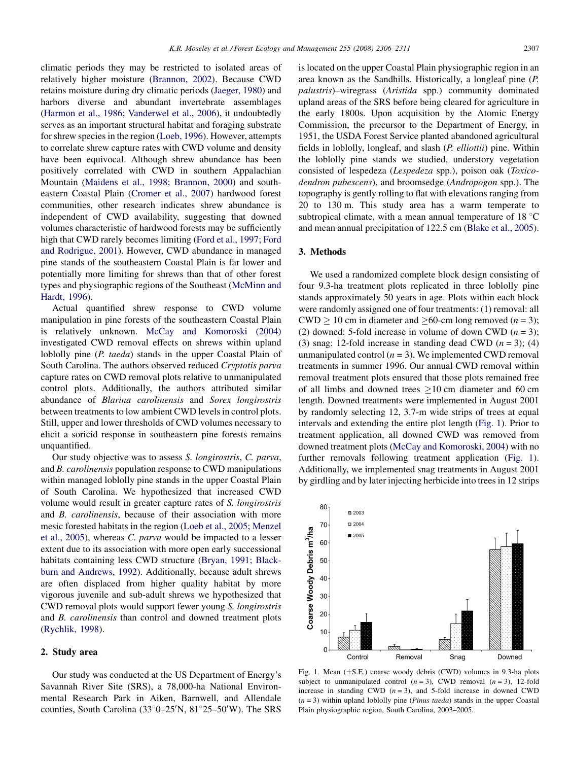<span id="page-1-0"></span>climatic periods they may be restricted to isolated areas of relatively higher moisture [\(Brannon, 2002](#page-4-0)). Because CWD retains moisture during dry climatic periods [\(Jaeger, 1980](#page-5-0)) and harbors diverse and abundant invertebrate assemblages ([Harmon et al., 1986; Vanderwel et al., 2006\)](#page-5-0), it undoubtedly serves as an important structural habitat and foraging substrate for shrew species in the region ([Loeb, 1996\)](#page-5-0). However, attempts to correlate shrew capture rates with CWD volume and density have been equivocal. Although shrew abundance has been positively correlated with CWD in southern Appalachian Mountain ([Maidens et al., 1998; Brannon, 2000\)](#page-5-0) and southeastern Coastal Plain [\(Cromer et al., 2007](#page-5-0)) hardwood forest communities, other research indicates shrew abundance is independent of CWD availability, suggesting that downed volumes characteristic of hardwood forests may be sufficiently high that CWD rarely becomes limiting [\(Ford et al., 1997; Ford](#page-5-0) [and Rodrigue, 2001](#page-5-0)). However, CWD abundance in managed pine stands of the southeastern Coastal Plain is far lower and potentially more limiting for shrews than that of other forest types and physiographic regions of the Southeast ([McMinn and](#page-5-0) [Hardt, 1996](#page-5-0)).

Actual quantified shrew response to CWD volume manipulation in pine forests of the southeastern Coastal Plain is relatively unknown. [McCay and Komoroski \(2004\)](#page-5-0) investigated CWD removal effects on shrews within upland loblolly pine (*P. taeda*) stands in the upper Coastal Plain of South Carolina. The authors observed reduced Cryptotis parva capture rates on CWD removal plots relative to unmanipulated control plots. Additionally, the authors attributed similar abundance of Blarina carolinensis and Sorex longirostris between treatments to low ambient CWD levels in control plots. Still, upper and lower thresholds of CWD volumes necessary to elicit a soricid response in southeastern pine forests remains unquantified.

Our study objective was to assess S. longirostris, C. parva, and B. carolinensis population response to CWD manipulations within managed loblolly pine stands in the upper Coastal Plain of South Carolina. We hypothesized that increased CWD volume would result in greater capture rates of S. longirostris and B. carolinensis, because of their association with more mesic forested habitats in the region ([Loeb et al., 2005; Menzel](#page-5-0) [et al., 2005](#page-5-0)), whereas C. parva would be impacted to a lesser extent due to its association with more open early successional habitats containing less CWD structure [\(Bryan, 1991; Black](#page-4-0)[burn and Andrews, 1992](#page-4-0)). Additionally, because adult shrews are often displaced from higher quality habitat by more vigorous juvenile and sub-adult shrews we hypothesized that CWD removal plots would support fewer young S. longirostris and B. carolinensis than control and downed treatment plots ([Rychlik, 1998](#page-5-0)).

# 2. Study area

Our study was conducted at the US Department of Energy's Savannah River Site (SRS), a 78,000-ha National Environmental Research Park in Aiken, Barnwell, and Allendale counties, South Carolina (33°0–25′N, 81°25–50′W). The SRS

is located on the upper Coastal Plain physiographic region in an area known as the Sandhills. Historically, a longleaf pine (P. palustris)–wiregrass (Aristida spp.) community dominated upland areas of the SRS before being cleared for agriculture in the early 1800s. Upon acquisition by the Atomic Energy Commission, the precursor to the Department of Energy, in 1951, the USDA Forest Service planted abandoned agricultural fields in loblolly, longleaf, and slash (P. elliottii) pine. Within the loblolly pine stands we studied, understory vegetation consisted of lespedeza (Lespedeza spp.), poison oak (Toxicodendron pubescens), and broomsedge (Andropogon spp.). The topography is gently rolling to flat with elevations ranging from 20 to 130 m. This study area has a warm temperate to subtropical climate, with a mean annual temperature of  $18 \degree C$ and mean annual precipitation of 122.5 cm [\(Blake et al., 2005\)](#page-4-0).

## 3. Methods

We used a randomized complete block design consisting of four 9.3-ha treatment plots replicated in three loblolly pine stands approximately 50 years in age. Plots within each block were randomly assigned one of four treatments: (1) removal: all CWD  $\geq$  10 cm in diameter and  $\geq$  60-cm long removed (*n* = 3); (2) downed: 5-fold increase in volume of down CWD  $(n = 3)$ ; (3) snag: 12-fold increase in standing dead CWD  $(n = 3)$ ; (4) unmanipulated control  $(n = 3)$ . We implemented CWD removal treatments in summer 1996. Our annual CWD removal within removal treatment plots ensured that those plots remained free of all limbs and downed trees  $\geq 10$  cm diameter and 60 cm length. Downed treatments were implemented in August 2001 by randomly selecting 12, 3.7-m wide strips of trees at equal intervals and extending the entire plot length (Fig. 1). Prior to treatment application, all downed CWD was removed from downed treatment plots ([McCay and Komoroski, 2004](#page-5-0)) with no further removals following treatment application (Fig. 1). Additionally, we implemented snag treatments in August 2001 by girdling and by later injecting herbicide into trees in 12 strips



Fig. 1. Mean  $(\pm S.E.)$  coarse woody debris (CWD) volumes in 9.3-ha plots subject to unmanipulated control  $(n = 3)$ , CWD removal  $(n = 3)$ , 12-fold increase in standing CWD  $(n = 3)$ , and 5-fold increase in downed CWD  $(n = 3)$  within upland loblolly pine (*Pinus taeda*) stands in the upper Coastal Plain physiographic region, South Carolina, 2003–2005.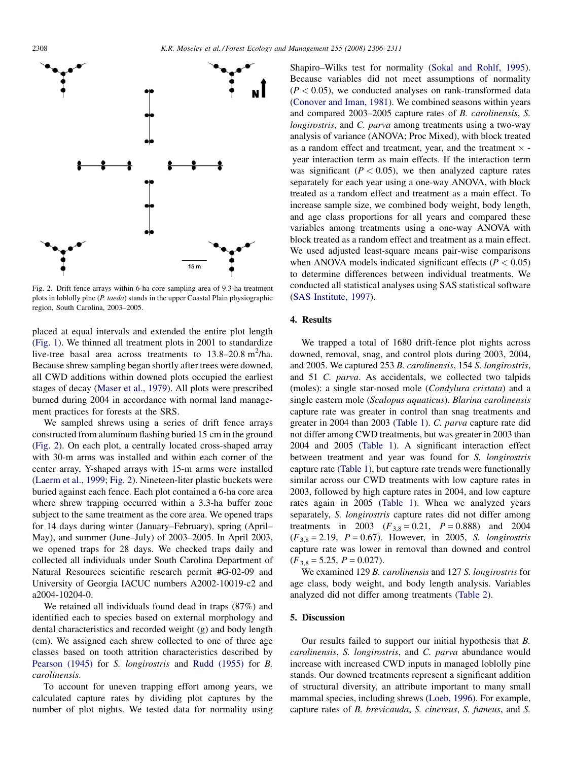

Fig. 2. Drift fence arrays within 6-ha core sampling area of 9.3-ha treatment plots in loblolly pine (P. taeda) stands in the upper Coastal Plain physiographic region, South Carolina, 2003–2005.

placed at equal intervals and extended the entire plot length ([Fig. 1\)](#page-1-0). We thinned all treatment plots in 2001 to standardize live-tree basal area across treatments to  $13.8-20.8$  m<sup>2</sup>/ha. Because shrew sampling began shortly after trees were downed, all CWD additions within downed plots occupied the earliest stages of decay ([Maser et al., 1979](#page-5-0)). All plots were prescribed burned during 2004 in accordance with normal land management practices for forests at the SRS.

We sampled shrews using a series of drift fence arrays constructed from aluminum flashing buried 15 cm in the ground (Fig. 2). On each plot, a centrally located cross-shaped array with 30-m arms was installed and within each corner of the center array, Y-shaped arrays with 15-m arms were installed ([Laerm et al., 1999;](#page-5-0) Fig. 2). Nineteen-liter plastic buckets were buried against each fence. Each plot contained a 6-ha core area where shrew trapping occurred within a 3.3-ha buffer zone subject to the same treatment as the core area. We opened traps for 14 days during winter (January–February), spring (April– May), and summer (June–July) of 2003–2005. In April 2003, we opened traps for 28 days. We checked traps daily and collected all individuals under South Carolina Department of Natural Resources scientific research permit #G-02-09 and University of Georgia IACUC numbers A2002-10019-c2 and a2004-10204-0.

We retained all individuals found dead in traps (87%) and identified each to species based on external morphology and dental characteristics and recorded weight (g) and body length (cm). We assigned each shrew collected to one of three age classes based on tooth attrition characteristics described by [Pearson \(1945\)](#page-5-0) for S. longirostris and [Rudd \(1955\)](#page-5-0) for B. carolinensis.

To account for uneven trapping effort among years, we calculated capture rates by dividing plot captures by the number of plot nights. We tested data for normality using Shapiro–Wilks test for normality [\(Sokal and Rohlf, 1995\)](#page-5-0). Because variables did not meet assumptions of normality  $(P < 0.05)$ , we conducted analyses on rank-transformed data [\(Conover and Iman, 1981](#page-5-0)). We combined seasons within years and compared 2003–2005 capture rates of B. carolinensis, S. longirostris, and C. parva among treatments using a two-way analysis of variance (ANOVA; Proc Mixed), with block treated as a random effect and treatment, year, and the treatment  $\times$  year interaction term as main effects. If the interaction term was significant ( $P < 0.05$ ), we then analyzed capture rates separately for each year using a one-way ANOVA, with block treated as a random effect and treatment as a main effect. To increase sample size, we combined body weight, body length, and age class proportions for all years and compared these variables among treatments using a one-way ANOVA with block treated as a random effect and treatment as a main effect. We used adjusted least-square means pair-wise comparisons when ANOVA models indicated significant effects ( $P < 0.05$ ) to determine differences between individual treatments. We conducted all statistical analyses using SAS statistical software [\(SAS Institute, 1997](#page-5-0)).

# 4. Results

We trapped a total of 1680 drift-fence plot nights across downed, removal, snag, and control plots during 2003, 2004, and 2005. We captured 253 B. carolinensis, 154 S. longirostris, and 51 C. parva. As accidentals, we collected two talpids (moles): a single star-nosed mole (Condylura cristata) and a single eastern mole (Scalopus aquaticus). Blarina carolinensis capture rate was greater in control than snag treatments and greater in 2004 than 2003 [\(Table 1\)](#page-3-0). C. parva capture rate did not differ among CWD treatments, but was greater in 2003 than 2004 and 2005 ([Table 1\)](#page-3-0). A significant interaction effect between treatment and year was found for S. longirostris capture rate [\(Table 1\)](#page-3-0), but capture rate trends were functionally similar across our CWD treatments with low capture rates in 2003, followed by high capture rates in 2004, and low capture rates again in 2005 [\(Table 1\)](#page-3-0). When we analyzed years separately, S. *longirostris* capture rates did not differ among treatments in 2003 ( $F_{3,8} = 0.21$ ,  $P = 0.888$ ) and 2004  $(F_{3,8} = 2.19, P = 0.67)$ . However, in 2005, *S. longirostris* capture rate was lower in removal than downed and control  $(F_{3,8} = 5.25, P = 0.027).$ 

We examined 129 B. carolinensis and 127 S. longirostris for age class, body weight, and body length analysis. Variables analyzed did not differ among treatments [\(Table 2\)](#page-3-0).

#### 5. Discussion

Our results failed to support our initial hypothesis that B. carolinensis, S. longirostris, and C. parva abundance would increase with increased CWD inputs in managed loblolly pine stands. Our downed treatments represent a significant addition of structural diversity, an attribute important to many small mammal species, including shrews ([Loeb, 1996](#page-5-0)). For example, capture rates of B. brevicauda, S. cinereus, S. fumeus, and S.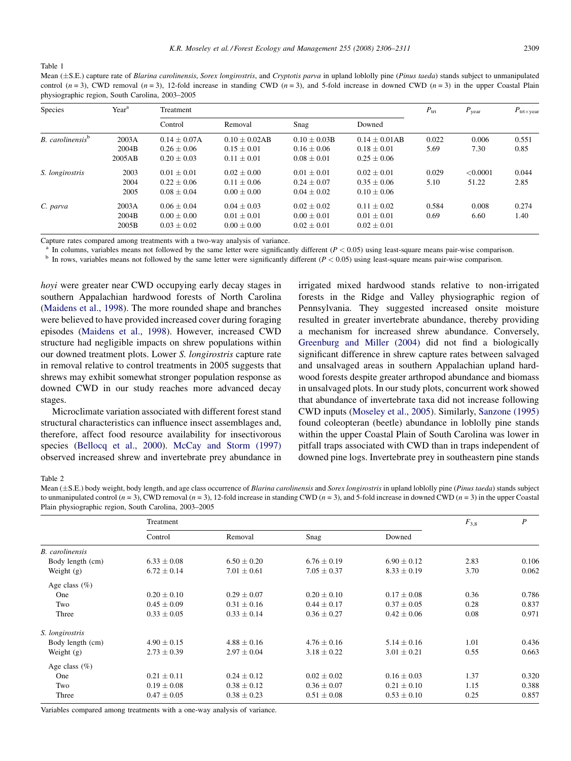<span id="page-3-0"></span>Table 1

Mean  $(\pm S.E.)$  capture rate of Blarina carolinensis, Sorex longirostris, and Cryptotis parva in upland loblolly pine (Pinus taeda) stands subject to unmanipulated control  $(n = 3)$ , CWD removal  $(n = 3)$ , 12-fold increase in standing CWD  $(n = 3)$ , and 5-fold increase in downed CWD  $(n = 3)$  in the upper Coastal Plain physiographic region, South Carolina, 2003–2005

| Species                      | Year <sup>a</sup> | Treatment      |                 |                 |                 | $P_{\text{trt}}$ | $P_{\text{year}}$ | $P_{\text{trtxyear}}$ |
|------------------------------|-------------------|----------------|-----------------|-----------------|-----------------|------------------|-------------------|-----------------------|
|                              |                   | Control        | Removal         | Snag            | Downed          |                  |                   |                       |
| B. carolinensis <sup>b</sup> | 2003A             | $0.14 + 0.07A$ | $0.10 + 0.02AB$ | $0.10 + 0.03B$  | $0.14 + 0.01AB$ | 0.022            | 0.006             | 0.551                 |
|                              | 2004B             | $0.26 + 0.06$  | $0.15 + 0.01$   | $0.16 + 0.06$   | $0.18 + 0.01$   | 5.69             | 7.30              | 0.85                  |
|                              | 2005AB            | $0.20 + 0.03$  | $0.11 + 0.01$   | $0.08 + 0.01$   | $0.25 + 0.06$   |                  |                   |                       |
| S. longirostris              | 2003              | $0.01 + 0.01$  | $0.02 + 0.00$   | $0.01 \pm 0.01$ | $0.02 + 0.01$   | 0.029            | < 0.0001          | 0.044                 |
|                              | 2004              | $0.22 + 0.06$  | $0.11 + 0.06$   | $0.24 + 0.07$   | $0.35 + 0.06$   | 5.10             | 51.22             | 2.85                  |
|                              | 2005              | $0.08 + 0.04$  | $0.00 \pm 0.00$ | $0.04 \pm 0.02$ | $0.10 \pm 0.06$ |                  |                   |                       |
| C. parva                     | 2003A             | $0.06 + 0.04$  | $0.04 + 0.03$   | $0.02 + 0.02$   | $0.11 + 0.02$   | 0.584            | 0.008             | 0.274                 |
|                              | 2004B             | $0.00 + 0.00$  | $0.01 + 0.01$   | $0.00 + 0.01$   | $0.01 + 0.01$   | 0.69             | 6.60              | 1.40                  |
|                              | 2005B             | $0.03 + 0.02$  | $0.00 \pm 0.00$ | $0.02 \pm 0.01$ | $0.02 \pm 0.01$ |                  |                   |                       |

Capture rates compared among treatments with a two-way analysis of variance.

<sup>a</sup> In columns, variables means not followed by the same letter were significantly different ( $P < 0.05$ ) using least-square means pair-wise comparison.<br><sup>b</sup> In rows, variables means not followed by the same letter were sig

hoyi were greater near CWD occupying early decay stages in southern Appalachian hardwood forests of North Carolina ([Maidens et al., 1998\)](#page-5-0). The more rounded shape and branches were believed to have provided increased cover during foraging episodes [\(Maidens et al., 1998\)](#page-5-0). However, increased CWD structure had negligible impacts on shrew populations within our downed treatment plots. Lower S. longirostris capture rate in removal relative to control treatments in 2005 suggests that shrews may exhibit somewhat stronger population response as downed CWD in our study reaches more advanced decay stages.

Microclimate variation associated with different forest stand structural characteristics can influence insect assemblages and, therefore, affect food resource availability for insectivorous species ([Bellocq et al., 2000](#page-4-0)). [McCay and Storm \(1997\)](#page-5-0) observed increased shrew and invertebrate prey abundance in irrigated mixed hardwood stands relative to non-irrigated forests in the Ridge and Valley physiographic region of Pennsylvania. They suggested increased onsite moisture resulted in greater invertebrate abundance, thereby providing a mechanism for increased shrew abundance. Conversely, [Greenburg and Miller \(2004\)](#page-5-0) did not find a biologically significant difference in shrew capture rates between salvaged and unsalvaged areas in southern Appalachian upland hardwood forests despite greater arthropod abundance and biomass in unsalvaged plots. In our study plots, concurrent work showed that abundance of invertebrate taxa did not increase following CWD inputs ([Moseley et al., 2005](#page-5-0)). Similarly, [Sanzone \(1995\)](#page-5-0) found coleopteran (beetle) abundance in loblolly pine stands within the upper Coastal Plain of South Carolina was lower in pitfall traps associated with CWD than in traps independent of downed pine logs. Invertebrate prey in southeastern pine stands

Table 2

Mean  $(\pm S.E.)$  body weight, body length, and age class occurrence of Blarina carolinensis and Sorex longirostris in upland loblolly pine (Pinus taeda) stands subject to unmanipulated control  $(n = 3)$ , CWD removal  $(n = 3)$ , 12-fold increase in standing CWD  $(n = 3)$ , and 5-fold increase in downed CWD  $(n = 3)$  in the upper Coastal Plain physiographic region, South Carolina, 2003–2005

|                        | Treatment       | $F_{3,8}$       | $\boldsymbol{P}$ |                 |      |       |
|------------------------|-----------------|-----------------|------------------|-----------------|------|-------|
|                        | Control         | Removal         | Snag             | Downed          |      |       |
| <b>B.</b> carolinensis |                 |                 |                  |                 |      |       |
| Body length (cm)       | $6.33 \pm 0.08$ | $6.50 \pm 0.20$ | $6.76 \pm 0.19$  | $6.90 \pm 0.12$ | 2.83 | 0.106 |
| Weight $(g)$           | $6.72 \pm 0.14$ | $7.01 \pm 0.61$ | $7.05 \pm 0.37$  | $8.33 \pm 0.19$ | 3.70 | 0.062 |
| Age class $(\%)$       |                 |                 |                  |                 |      |       |
| One                    | $0.20 \pm 0.10$ | $0.29 \pm 0.07$ | $0.20 \pm 0.10$  | $0.17 \pm 0.08$ | 0.36 | 0.786 |
| Two                    | $0.45 \pm 0.09$ | $0.31 \pm 0.16$ | $0.44 \pm 0.17$  | $0.37 \pm 0.05$ | 0.28 | 0.837 |
| Three                  | $0.33 \pm 0.05$ | $0.33 \pm 0.14$ | $0.36 \pm 0.27$  | $0.42 \pm 0.06$ | 0.08 | 0.971 |
| S. longirostris        |                 |                 |                  |                 |      |       |
| Body length (cm)       | $4.90 \pm 0.15$ | $4.88 \pm 0.16$ | $4.76 \pm 0.16$  | $5.14 \pm 0.16$ | 1.01 | 0.436 |
| Weight $(g)$           | $2.73 \pm 0.39$ | $2.97 \pm 0.04$ | $3.18 \pm 0.22$  | $3.01 \pm 0.21$ | 0.55 | 0.663 |
| Age class $(\% )$      |                 |                 |                  |                 |      |       |
| One                    | $0.21 \pm 0.11$ | $0.24 \pm 0.12$ | $0.02 \pm 0.02$  | $0.16 \pm 0.03$ | 1.37 | 0.320 |
| Two                    | $0.19 \pm 0.08$ | $0.38 \pm 0.12$ | $0.36 \pm 0.07$  | $0.21 \pm 0.10$ | 1.15 | 0.388 |
| Three                  | $0.47 \pm 0.05$ | $0.38 \pm 0.23$ | $0.51 \pm 0.08$  | $0.53 \pm 0.10$ | 0.25 | 0.857 |

Variables compared among treatments with a one-way analysis of variance.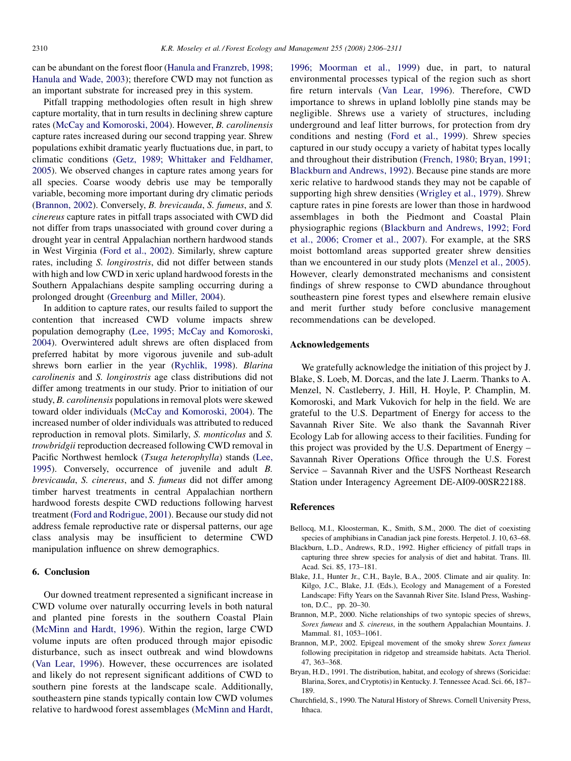<span id="page-4-0"></span>can be abundant on the forest floor ([Hanula and Franzreb, 1998;](#page-5-0) [Hanula and Wade, 2003\)](#page-5-0); therefore CWD may not function as an important substrate for increased prey in this system.

Pitfall trapping methodologies often result in high shrew capture mortality, that in turn results in declining shrew capture rates [\(McCay and Komoroski, 2004](#page-5-0)). However, B. carolinensis capture rates increased during our second trapping year. Shrew populations exhibit dramatic yearly fluctuations due, in part, to climatic conditions [\(Getz, 1989; Whittaker and Feldhamer,](#page-5-0) [2005\)](#page-5-0). We observed changes in capture rates among years for all species. Coarse woody debris use may be temporally variable, becoming more important during dry climatic periods (Brannon, 2002). Conversely, B. brevicauda, S. fumeus, and S. cinereus capture rates in pitfall traps associated with CWD did not differ from traps unassociated with ground cover during a drought year in central Appalachian northern hardwood stands in West Virginia ([Ford et al., 2002](#page-5-0)). Similarly, shrew capture rates, including S. longirostris, did not differ between stands with high and low CWD in xeric upland hardwood forests in the Southern Appalachians despite sampling occurring during a prolonged drought [\(Greenburg and Miller, 2004](#page-5-0)).

In addition to capture rates, our results failed to support the contention that increased CWD volume impacts shrew population demography ([Lee, 1995; McCay and Komoroski,](#page-5-0) [2004\)](#page-5-0). Overwintered adult shrews are often displaced from preferred habitat by more vigorous juvenile and sub-adult shrews born earlier in the year [\(Rychlik, 1998](#page-5-0)). Blarina carolinenis and S. longirostris age class distributions did not differ among treatments in our study. Prior to initiation of our study, B. carolinensis populations in removal plots were skewed toward older individuals [\(McCay and Komoroski, 2004](#page-5-0)). The increased number of older individuals was attributed to reduced reproduction in removal plots. Similarly, S. monticolus and S. trowbridgii reproduction decreased following CWD removal in Pacific Northwest hemlock (Tsuga heterophylla) stands [\(Lee,](#page-5-0) [1995\)](#page-5-0). Conversely, occurrence of juvenile and adult B. brevicauda, S. cinereus, and S. fumeus did not differ among timber harvest treatments in central Appalachian northern hardwood forests despite CWD reductions following harvest treatment ([Ford and Rodrigue, 2001](#page-5-0)). Because our study did not address female reproductive rate or dispersal patterns, our age class analysis may be insufficient to determine CWD manipulation influence on shrew demographics.

# 6. Conclusion

Our downed treatment represented a significant increase in CWD volume over naturally occurring levels in both natural and planted pine forests in the southern Coastal Plain ([McMinn and Hardt, 1996\)](#page-5-0). Within the region, large CWD volume inputs are often produced through major episodic disturbance, such as insect outbreak and wind blowdowns ([Van Lear, 1996](#page-5-0)). However, these occurrences are isolated and likely do not represent significant additions of CWD to southern pine forests at the landscape scale. Additionally, southeastern pine stands typically contain low CWD volumes relative to hardwood forest assemblages ([McMinn and Hardt,](#page-5-0)

[1996; Moorman et al., 1999\)](#page-5-0) due, in part, to natural environmental processes typical of the region such as short fire return intervals [\(Van Lear, 1996\)](#page-5-0). Therefore, CWD importance to shrews in upland loblolly pine stands may be negligible. Shrews use a variety of structures, including underground and leaf litter burrows, for protection from dry conditions and nesting ([Ford et al., 1999\)](#page-5-0). Shrew species captured in our study occupy a variety of habitat types locally and throughout their distribution ([French, 1980; Bryan, 1991;](#page-5-0) [Blackburn and Andrews, 1992\)](#page-5-0). Because pine stands are more xeric relative to hardwood stands they may not be capable of supporting high shrew densities ([Wrigley et al., 1979\)](#page-5-0). Shrew capture rates in pine forests are lower than those in hardwood assemblages in both the Piedmont and Coastal Plain physiographic regions (Blackburn and Andrews, 1992; Ford et al., 2006; Cromer et al., 2007). For example, at the SRS moist bottomland areas supported greater shrew densities than we encountered in our study plots ([Menzel et al., 2005\)](#page-5-0). However, clearly demonstrated mechanisms and consistent findings of shrew response to CWD abundance throughout southeastern pine forest types and elsewhere remain elusive and merit further study before conclusive management recommendations can be developed.

### Acknowledgements

We gratefully acknowledge the initiation of this project by J. Blake, S. Loeb, M. Dorcas, and the late J. Laerm. Thanks to A. Menzel, N. Castleberry, J. Hill, H. Hoyle, P. Champlin, M. Komoroski, and Mark Vukovich for help in the field. We are grateful to the U.S. Department of Energy for access to the Savannah River Site. We also thank the Savannah River Ecology Lab for allowing access to their facilities. Funding for this project was provided by the U.S. Department of Energy – Savannah River Operations Office through the U.S. Forest Service – Savannah River and the USFS Northeast Research Station under Interagency Agreement DE-AI09-00SR22188.

# References

- Bellocq, M.I., Kloosterman, K., Smith, S.M., 2000. The diet of coexisting species of amphibians in Canadian jack pine forests. Herpetol. J. 10, 63–68.
- Blackburn, L.D., Andrews, R.D., 1992. Higher efficiency of pitfall traps in capturing three shrew species for analysis of diet and habitat. Trans. Ill. Acad. Sci. 85, 173–181.
- Blake, J.I., Hunter Jr., C.H., Bayle, B.A., 2005. Climate and air quality. In: Kilgo, J.C., Blake, J.I. (Eds.), Ecology and Management of a Forested Landscape: Fifty Years on the Savannah River Site. Island Press, Washington, D.C., pp. 20–30.
- Brannon, M.P., 2000. Niche relationships of two syntopic species of shrews, Sorex fumeus and S. cinereus, in the southern Appalachian Mountains. J. Mammal. 81, 1053–1061.
- Brannon, M.P., 2002. Epigeal movement of the smoky shrew Sorex fumeus following precipitation in ridgetop and streamside habitats. Acta Theriol. 47, 363–368.
- Bryan, H.D., 1991. The distribution, habitat, and ecology of shrews (Soricidae: Blarina, Sorex, and Cryptotis) in Kentucky. J. Tennessee Acad. Sci. 66, 187– 189.
- Churchfield, S., 1990. The Natural History of Shrews. Cornell University Press, Ithaca.